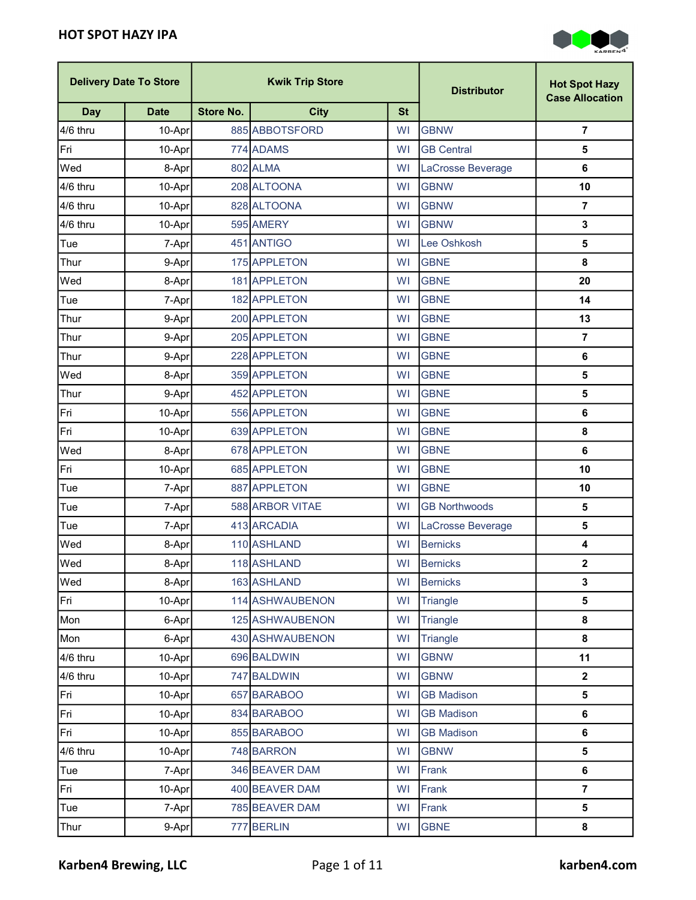п

 $\overline{\phantom{a}}$ 



|            | <b>Delivery Date To Store</b> |                  | <b>Kwik Trip Store</b> |           | <b>Distributor</b>   | <b>Hot Spot Hazy</b><br><b>Case Allocation</b> |
|------------|-------------------------------|------------------|------------------------|-----------|----------------------|------------------------------------------------|
| <b>Day</b> | <b>Date</b>                   | <b>Store No.</b> | <b>City</b>            | <b>St</b> |                      |                                                |
| 4/6 thru   | 10-Apr                        |                  | 885 ABBOTSFORD         | WI        | <b>GBNW</b>          | $\overline{7}$                                 |
| Fri        | 10-Apr                        |                  | 774 ADAMS              | WI        | <b>GB Central</b>    | 5                                              |
| Wed        | 8-Apr                         |                  | 802 ALMA               | <b>WI</b> | LaCrosse Beverage    | $\bf 6$                                        |
| 4/6 thru   | 10-Apr                        |                  | 208 ALTOONA            | WI        | <b>GBNW</b>          | 10                                             |
| 4/6 thru   | 10-Apr                        |                  | 828 ALTOONA            | WI        | <b>GBNW</b>          | $\overline{7}$                                 |
| 4/6 thru   | 10-Apr                        |                  | 595 AMERY              | WI        | <b>GBNW</b>          | $\mathbf{3}$                                   |
| Tue        | 7-Aprl                        |                  | 451 ANTIGO             | WI        | Lee Oshkosh          | $\overline{\mathbf{5}}$                        |
| Thur       | 9-Apr                         |                  | 175 APPLETON           | WI        | <b>GBNE</b>          | 8                                              |
| Wed        | 8-Apr                         |                  | 181 APPLETON           | <b>WI</b> | <b>GBNE</b>          | 20                                             |
| Tue        | 7-Apr                         |                  | 182 APPLETON           | <b>WI</b> | <b>GBNE</b>          | 14                                             |
| Thur       | 9-Aprl                        |                  | 200 APPLETON           | <b>WI</b> | <b>GBNE</b>          | 13                                             |
| Thur       | 9-Apr                         |                  | 205 APPLETON           | WI        | <b>GBNE</b>          | $\overline{7}$                                 |
| Thur       | 9-Apr                         |                  | 228 APPLETON           | <b>WI</b> | <b>GBNE</b>          | 6                                              |
| Wed        | 8-Apr                         |                  | 359 APPLETON           | WI        | <b>GBNE</b>          | $\overline{\mathbf{5}}$                        |
| Thur       | 9-Aprl                        |                  | 452 APPLETON           | WI        | <b>GBNE</b>          | $\overline{\mathbf{5}}$                        |
| Fri        | 10-Apr                        |                  | 556 APPLETON           | WI        | <b>GBNE</b>          | 6                                              |
| Fri        | 10-Apr                        |                  | 639 APPLETON           | <b>WI</b> | <b>GBNE</b>          | 8                                              |
| Wed        | 8-Apr                         |                  | 678 APPLETON           | <b>WI</b> | <b>GBNE</b>          | $\bf 6$                                        |
| Fri        | 10-Apr                        |                  | 685 APPLETON           | WI        | <b>GBNE</b>          | 10                                             |
| Tue        | 7-Apr                         |                  | 887 APPLETON           | <b>WI</b> | <b>GBNE</b>          | 10                                             |
| Tue        | 7-Apr                         |                  | 588 ARBOR VITAE        | <b>WI</b> | <b>GB Northwoods</b> | $\overline{\mathbf{5}}$                        |
| Tue        | 7-Apr                         |                  | 413 ARCADIA            | WI        | LaCrosse Beverage    | $\overline{\mathbf{5}}$                        |
| Wed        | 8-Apr                         |                  | 110 ASHLAND            | WI        | <b>Bernicks</b>      | $\overline{\mathbf{4}}$                        |
| Wed        | 8-Apr                         |                  | 118 ASHLAND            | WI        | <b>Bernicks</b>      | $\mathbf{2}$                                   |
| Wed        | 8-Apr                         |                  | 163 ASHLAND            | WI        | <b>Bernicks</b>      | 3                                              |
| Fri        | 10-Apr                        |                  | 114 ASHWAUBENON        | WI        | Triangle             | $\overline{\mathbf{5}}$                        |
| Mon        | 6-Apr                         |                  | 125 ASHWAUBENON        | WI        | Triangle             | 8                                              |
| Mon        | 6-Apr                         |                  | 430 ASHWAUBENON        | <b>WI</b> | Triangle             | 8                                              |
| 4/6 thru   | 10-Apr                        |                  | 696 BALDWIN            | WI        | <b>GBNW</b>          | 11                                             |
| 4/6 thru   | 10-Apr                        |                  | 747 BALDWIN            | WI        | <b>GBNW</b>          | $\mathbf{2}$                                   |
| Fri        | 10-Apr                        |                  | 657 BARABOO            | WI        | <b>GB Madison</b>    | $\overline{\mathbf{5}}$                        |
| Fri        | 10-Apr                        |                  | 834 BARABOO            | WI        | <b>GB Madison</b>    | 6                                              |
| Fri        | 10-Apr                        |                  | 855 BARABOO            | <b>WI</b> | <b>GB Madison</b>    | $\bf 6$                                        |
| 4/6 thru   | 10-Apr                        |                  | 748 BARRON             | WI        | <b>GBNW</b>          | $\overline{\mathbf{5}}$                        |
| Tue        | 7-Apr                         |                  | 346 BEAVER DAM         | WI        | Frank                | 6                                              |
| Fri        | 10-Apr                        |                  | 400 BEAVER DAM         | WI        | Frank                | $\overline{7}$                                 |
| Tue        | 7-Apr                         |                  | 785 BEAVER DAM         | WI        | Frank                | $\overline{\mathbf{5}}$                        |
| Thur       | 9-Apr                         |                  | 777 BERLIN             | WI        | <b>GBNE</b>          | 8                                              |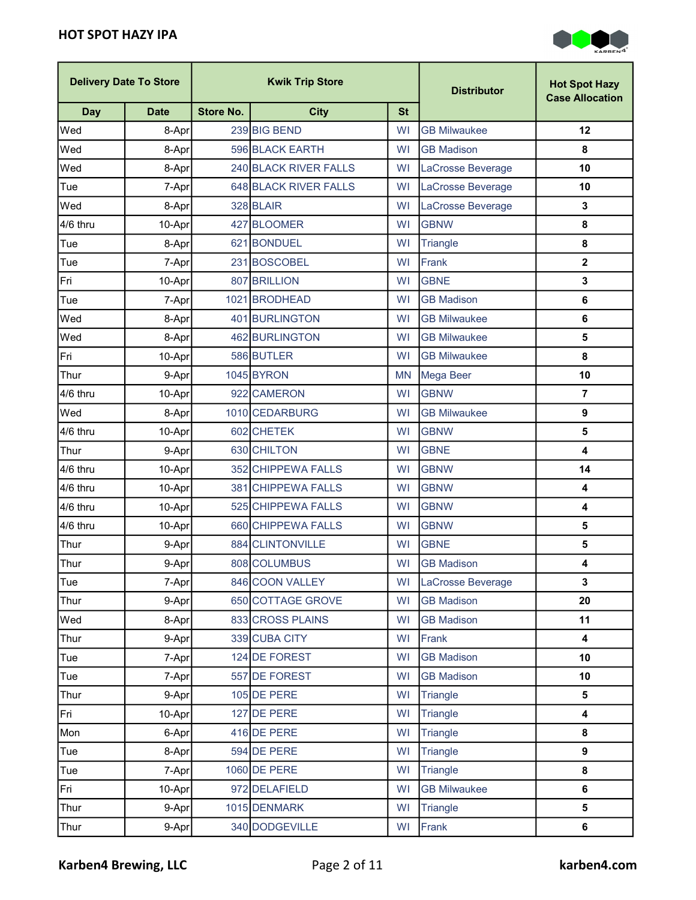

| <b>Kwik Trip Store</b><br><b>Delivery Date To Store</b> |             | <b>Distributor</b> | <b>Hot Spot Hazy</b><br><b>Case Allocation</b> |           |                     |                         |
|---------------------------------------------------------|-------------|--------------------|------------------------------------------------|-----------|---------------------|-------------------------|
| <b>Day</b>                                              | <b>Date</b> | <b>Store No.</b>   | <b>City</b>                                    | <b>St</b> |                     |                         |
| Wed                                                     | 8-Apr       |                    | 239 BIG BEND                                   | WI        | <b>GB Milwaukee</b> | 12                      |
| Wed                                                     | 8-Apr       |                    | 596 BLACK EARTH                                | WI        | <b>GB Madison</b>   | 8                       |
| Wed                                                     | 8-Apr       |                    | 240 BLACK RIVER FALLS                          | <b>WI</b> | LaCrosse Beverage   | 10                      |
| Tue                                                     | 7-Apr       |                    | 648 BLACK RIVER FALLS                          | WI        | LaCrosse Beverage   | 10                      |
| Wed                                                     | 8-Apr       |                    | 328 BLAIR                                      | <b>WI</b> | LaCrosse Beverage   | $\mathbf 3$             |
| 4/6 thru                                                | 10-Apr      |                    | 427 BLOOMER                                    | WI        | <b>GBNW</b>         | $\pmb{8}$               |
| Tue                                                     | 8-Apr       |                    | 621 BONDUEL                                    | <b>WI</b> | <b>Triangle</b>     | 8                       |
| Tue                                                     | 7-Apr       |                    | 231 BOSCOBEL                                   | WI        | Frank               | $\overline{\mathbf{2}}$ |
| Fri                                                     | 10-Aprl     |                    | 807 BRILLION                                   | <b>WI</b> | <b>GBNE</b>         | $\mathbf 3$             |
| Tue                                                     | 7-Apr       |                    | 1021 BRODHEAD                                  | WI        | <b>GB Madison</b>   | 6                       |
| Wed                                                     | 8-Apr       |                    | 401 BURLINGTON                                 | WI        | <b>GB Milwaukee</b> | 6                       |
| Wed                                                     | 8-Apr       |                    | 462 BURLINGTON                                 | <b>WI</b> | <b>GB Milwaukee</b> | 5                       |
| Fri                                                     | 10-Apr      |                    | 586 BUTLER                                     | WI        | <b>GB Milwaukee</b> | 8                       |
| Thur                                                    | 9-Apr       |                    | 1045 BYRON                                     | <b>MN</b> | Mega Beer           | 10                      |
| 4/6 thru                                                | 10-Apr      |                    | 922 CAMERON                                    | <b>WI</b> | <b>GBNW</b>         | $\overline{\mathbf{r}}$ |
| Wed                                                     | 8-Apr       |                    | 1010 CEDARBURG                                 | WI        | <b>GB Milwaukee</b> | $\boldsymbol{9}$        |
| 4/6 thru                                                | 10-Apr      |                    | 602 CHETEK                                     | <b>WI</b> | <b>GBNW</b>         | $\overline{\mathbf{5}}$ |
| Thur                                                    | 9-Apr       |                    | 630 CHILTON                                    | WI        | <b>GBNE</b>         | $\overline{\mathbf{4}}$ |
| 4/6 thru                                                | 10-Apr      |                    | 352 CHIPPEWA FALLS                             | WI        | <b>GBNW</b>         | 14                      |
| 4/6 thru                                                | 10-Apr      |                    | 381 CHIPPEWA FALLS                             | <b>WI</b> | <b>GBNW</b>         | $\overline{\mathbf{4}}$ |
| 4/6 thru                                                | 10-Apr      |                    | 525 CHIPPEWA FALLS                             | <b>WI</b> | <b>GBNW</b>         | $\overline{\mathbf{4}}$ |
| 4/6 thru                                                | 10-Apr      |                    | 660 CHIPPEWA FALLS                             | <b>WI</b> | <b>GBNW</b>         | $\overline{\mathbf{5}}$ |
| Thur                                                    | 9-Apr       |                    | 884 CLINTONVILLE                               | WI        | <b>GBNE</b>         | 5                       |
| Thur                                                    | 9-Apr       |                    | 808 COLUMBUS                                   | WI        | <b>GB Madison</b>   | 4                       |
| Tue                                                     | 7-Apr       |                    | 846 COON VALLEY                                | WI        | LaCrosse Beverage   | 3                       |
| Thur                                                    | 9-Apr       |                    | 650 COTTAGE GROVE                              | <b>WI</b> | <b>GB Madison</b>   | 20                      |
| Wed                                                     | 8-Apr       |                    | 833 CROSS PLAINS                               | <b>WI</b> | <b>GB Madison</b>   | 11                      |
| Thur                                                    | 9-Apr       |                    | 339 CUBA CITY                                  | <b>WI</b> | Frank               | 4                       |
| Tue                                                     | 7-Apr       |                    | 124 DE FOREST                                  | WI        | <b>GB Madison</b>   | 10                      |
| Tue                                                     | 7-Apr       |                    | 557 DE FOREST                                  | <b>WI</b> | <b>GB Madison</b>   | 10                      |
| Thur                                                    | 9-Apr       |                    | 105 DE PERE                                    | <b>WI</b> | Triangle            | $\overline{\mathbf{5}}$ |
| Fri                                                     | 10-Apr      |                    | 127 DE PERE                                    | <b>WI</b> | Triangle            | $\overline{\mathbf{4}}$ |
| Mon                                                     | 6-Apr       |                    | 416 DE PERE                                    | WI        | Triangle            | $\pmb{8}$               |
| Tue                                                     | 8-Apr       |                    | 594 DE PERE                                    | WI        | Triangle            | $\boldsymbol{9}$        |
| Tue                                                     | 7-Apr       |                    | 1060 DE PERE                                   | <b>WI</b> | Triangle            | 8                       |
| Fri                                                     | 10-Apr      |                    | 972 DELAFIELD                                  | WI        | <b>GB Milwaukee</b> | 6                       |
| Thur                                                    | 9-Apr       |                    | 1015 DENMARK                                   | <b>WI</b> | Triangle            | $\overline{\mathbf{5}}$ |
| Thur                                                    | 9-Apr       |                    | 340 DODGEVILLE                                 | WI        | Frank               | $\bf 6$                 |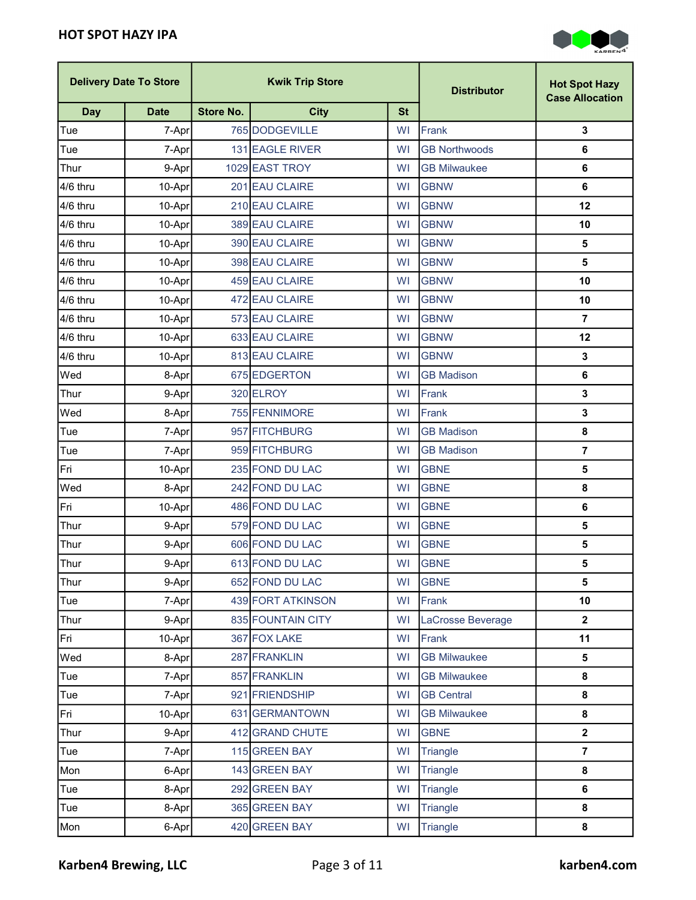

|            | <b>Delivery Date To Store</b> |                  | <b>Kwik Trip Store</b> |           | <b>Distributor</b>   | <b>Hot Spot Hazy</b><br><b>Case Allocation</b> |
|------------|-------------------------------|------------------|------------------------|-----------|----------------------|------------------------------------------------|
| <b>Day</b> | <b>Date</b>                   | <b>Store No.</b> | <b>City</b>            | <b>St</b> |                      |                                                |
| Tue        | 7-Apr                         |                  | 765 DODGEVILLE         | WI        | Frank                | $\mathbf{3}$                                   |
| Tue        | 7-Apr                         |                  | 131 EAGLE RIVER        | WI        | <b>GB Northwoods</b> | 6                                              |
| Thur       | 9-Apr                         |                  | 1029 EAST TROY         | WI        | <b>GB Milwaukee</b>  | 6                                              |
| 4/6 thru   | 10-Apr                        |                  | 201 EAU CLAIRE         | WI        | <b>GBNW</b>          | 6                                              |
| 4/6 thru   | 10-Apr                        |                  | 210 EAU CLAIRE         | WI        | <b>GBNW</b>          | 12                                             |
| 4/6 thru   | 10-Apr                        |                  | 389 EAU CLAIRE         | <b>WI</b> | <b>GBNW</b>          | 10                                             |
| 4/6 thru   | 10-Apr                        |                  | 390 EAU CLAIRE         | WI        | <b>GBNW</b>          | 5                                              |
| 4/6 thru   | 10-Apr                        |                  | 398 EAU CLAIRE         | WI        | <b>GBNW</b>          | 5                                              |
| 4/6 thru   | 10-Apr                        |                  | 459 EAU CLAIRE         | <b>WI</b> | <b>GBNW</b>          | 10                                             |
| 4/6 thru   | 10-Apr                        |                  | 472 EAU CLAIRE         | <b>WI</b> | <b>GBNW</b>          | 10                                             |
| 4/6 thru   | 10-Apr                        |                  | 573 EAU CLAIRE         | WI        | <b>GBNW</b>          | $\overline{7}$                                 |
| 4/6 thru   | 10-Apr                        |                  | 633 EAU CLAIRE         | WI        | <b>GBNW</b>          | 12                                             |
| 4/6 thru   | 10-Apr                        |                  | 813 EAU CLAIRE         | WI        | <b>GBNW</b>          | 3                                              |
| Wed        | 8-Apr                         |                  | 675 EDGERTON           | WI        | <b>GB Madison</b>    | 6                                              |
| Thur       | 9-Apr                         |                  | 320 ELROY              | WI        | Frank                | $\mathbf{3}$                                   |
| Wed        | 8-Apr                         |                  | 755 FENNIMORE          | WI        | Frank                | 3                                              |
| Tue        | 7-Apr                         |                  | 957 FITCHBURG          | WI        | <b>GB Madison</b>    | 8                                              |
| Tue        | 7-Apr                         |                  | 959 FITCHBURG          | <b>WI</b> | <b>GB Madison</b>    | $\overline{7}$                                 |
| Fri        | 10-Aprl                       |                  | 235 FOND DU LAC        | <b>WI</b> | <b>GBNE</b>          | 5                                              |
| Wed        | 8-Apr                         |                  | 242 FOND DU LAC        | <b>WI</b> | <b>GBNE</b>          | 8                                              |
| Fri        | 10-Apr                        |                  | 486 FOND DU LAC        | <b>WI</b> | <b>GBNE</b>          | 6                                              |
| Thur       | 9-Apr                         |                  | 579 FOND DU LAC        | <b>WI</b> | <b>GBNE</b>          | 5                                              |
| Thur       | 9-Apr                         |                  | 606 FOND DU LAC        | WI        | <b>GBNE</b>          | 5                                              |
| Thur       | 9-Apr                         |                  | 613 FOND DU LAC        | WI        | <b>GBNE</b>          | 5                                              |
| Thur       | 9-Apr                         |                  | 652 FOND DU LAC        | WI        | <b>GBNE</b>          | 5                                              |
| Tue        | 7-Apr                         |                  | 439 FORT ATKINSON      | WI        | Frank                | 10                                             |
| Thur       | 9-Apr                         |                  | 835 FOUNTAIN CITY      | WI        | LaCrosse Beverage    | $\overline{\mathbf{2}}$                        |
| Fri        | $10-Apr$                      |                  | 367 FOX LAKE           | WI        | Frank                | 11                                             |
| Wed        | 8-Apr                         |                  | 287 FRANKLIN           | WI        | <b>GB Milwaukee</b>  | 5                                              |
| Tue        | 7-Apr                         |                  | 857 FRANKLIN           | WI        | <b>GB Milwaukee</b>  | 8                                              |
| Tue        | 7-Apr                         |                  | 921 FRIENDSHIP         | WI        | <b>GB Central</b>    | 8                                              |
| Fri        | $10-Apr$                      |                  | 631 GERMANTOWN         | WI        | <b>GB Milwaukee</b>  | 8                                              |
| Thur       | 9-Apr                         |                  | 412 GRAND CHUTE        | <b>WI</b> | <b>GBNE</b>          | $\overline{\mathbf{2}}$                        |
| Tue        | 7-Apr                         |                  | 115 GREEN BAY          | <b>WI</b> | Triangle             | $\overline{7}$                                 |
| Mon        | 6-Apr                         |                  | 143 GREEN BAY          | WI        | <b>Triangle</b>      | 8                                              |
| Tue        | 8-Apr                         |                  | 292 GREEN BAY          | WI        | <b>Triangle</b>      | 6                                              |
| Tue        | 8-Apr                         |                  | 365 GREEN BAY          | WI        | Triangle             | 8                                              |
| Mon        | 6-Apr                         |                  | 420 GREEN BAY          | WI        | Triangle             | 8                                              |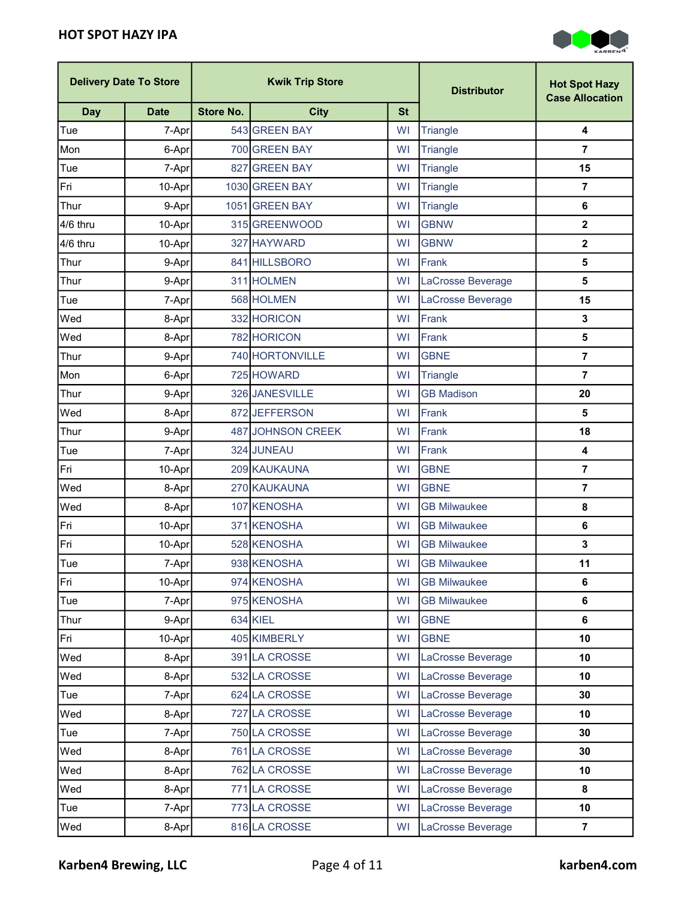

|            | <b>Delivery Date To Store</b> | <b>Kwik Trip Store</b> |                   | <b>Distributor</b> | <b>Hot Spot Hazy</b><br><b>Case Allocation</b> |                         |
|------------|-------------------------------|------------------------|-------------------|--------------------|------------------------------------------------|-------------------------|
| <b>Day</b> | <b>Date</b>                   | <b>Store No.</b>       | <b>City</b>       | <b>St</b>          |                                                |                         |
| Tue        | 7-Apr                         |                        | 543 GREEN BAY     | WI                 | <b>Triangle</b>                                | 4                       |
| Mon        | 6-Apr                         |                        | 700 GREEN BAY     | WI                 | <b>Triangle</b>                                | $\overline{7}$          |
| Tue        | 7-Apr                         |                        | 827 GREEN BAY     | WI                 | <b>Triangle</b>                                | 15                      |
| Fri        | 10-Apr                        |                        | 1030 GREEN BAY    | WI                 | Triangle                                       | $\overline{7}$          |
| Thur       | 9-Apr                         |                        | 1051 GREEN BAY    | WI                 | <b>Triangle</b>                                | 6                       |
| 4/6 thru   | 10-Apr                        |                        | 315 GREENWOOD     | WI                 | <b>GBNW</b>                                    | $\mathbf 2$             |
| 4/6 thru   | 10-Apr                        |                        | 327 HAYWARD       | WI                 | <b>GBNW</b>                                    | 2                       |
| Thur       | 9-Apr                         |                        | 841 HILLSBORO     | WI                 | Frank                                          | 5                       |
| Thur       | 9-Apr                         |                        | 311 HOLMEN        | WI                 | LaCrosse Beverage                              | 5                       |
| Tue        | 7-Apr                         |                        | 568 HOLMEN        | WI                 | LaCrosse Beverage                              | 15                      |
| Wed        | 8-Apr                         |                        | 332 HORICON       | <b>WI</b>          | Frank                                          | 3                       |
| Wed        | 8-Apr                         |                        | 782 HORICON       | WI                 | Frank                                          | 5                       |
| Thur       | 9-Apr                         |                        | 740 HORTONVILLE   | <b>WI</b>          | <b>GBNE</b>                                    | $\overline{\mathbf{r}}$ |
| Mon        | 6-Apr                         |                        | 725 HOWARD        | WI                 | <b>Triangle</b>                                | 7                       |
| Thur       | 9-Apr                         |                        | 326 JANESVILLE    | WI                 | <b>GB Madison</b>                              | 20                      |
| Wed        | 8-Apr                         |                        | 872 JEFFERSON     | WI                 | Frank                                          | 5                       |
| Thur       | 9-Apr                         |                        | 487 JOHNSON CREEK | WI                 | Frank                                          | 18                      |
| Tue        | 7-Apr                         |                        | 324 JUNEAU        | WI                 | Frank                                          | 4                       |
| Fri        | 10-Apr                        |                        | 209 KAUKAUNA      | WI                 | <b>GBNE</b>                                    | $\overline{7}$          |
| Wed        | 8-Apr                         |                        | 270 KAUKAUNA      | <b>WI</b>          | <b>GBNE</b>                                    | $\overline{7}$          |
| Wed        | 8-Apr                         |                        | 107 KENOSHA       | <b>WI</b>          | <b>GB Milwaukee</b>                            | 8                       |
| Fri        | 10-Apr                        |                        | 371 KENOSHA       | WI                 | <b>GB Milwaukee</b>                            | 6                       |
| Fri        | 10-Apr                        |                        | 528 KENOSHA       | WI                 | <b>GB Milwaukee</b>                            | 3                       |
| Tue        | 7-Apr                         |                        | 938 KENOSHA       | <b>WI</b>          | <b>GB Milwaukee</b>                            | 11                      |
| Fri        | 10-Apr                        |                        | 974 KENOSHA       | WI                 | <b>GB Milwaukee</b>                            | 6                       |
| Tue        | 7-Apr                         |                        | 975 KENOSHA       | WI                 | <b>GB Milwaukee</b>                            | 6                       |
| Thur       | 9-Apr                         |                        | 634 KIEL          | WI                 | <b>GBNE</b>                                    | 6                       |
| Fri        | 10-Apr                        |                        | 405 KIMBERLY      | WI                 | <b>GBNE</b>                                    | 10                      |
| Wed        | 8-Apr                         |                        | 391 LA CROSSE     | WI                 | LaCrosse Beverage                              | 10                      |
| Wed        | 8-Apr                         |                        | 532 LA CROSSE     | <b>WI</b>          | LaCrosse Beverage                              | 10                      |
| Tue        | 7-Apr                         |                        | 624 LA CROSSE     | WI                 | LaCrosse Beverage                              | 30                      |
| Wed        | 8-Apr                         |                        | 727 LA CROSSE     | <b>WI</b>          | LaCrosse Beverage                              | 10                      |
| Tue        | 7-Apr                         |                        | 750 LA CROSSE     | <b>WI</b>          | LaCrosse Beverage                              | 30                      |
| Wed        | 8-Apr                         |                        | 761 LA CROSSE     | WI                 | LaCrosse Beverage                              | 30                      |
| Wed        | 8-Apr                         |                        | 762 LA CROSSE     | <b>WI</b>          | LaCrosse Beverage                              | 10                      |
| Wed        | 8-Apr                         |                        | 771 LA CROSSE     | WI                 | LaCrosse Beverage                              | 8                       |
| Tue        | 7-Apr                         |                        | 773 LA CROSSE     | WI                 | LaCrosse Beverage                              | 10                      |
| Wed        | 8-Apr                         |                        | 816 LA CROSSE     | WI                 | LaCrosse Beverage                              | $\overline{7}$          |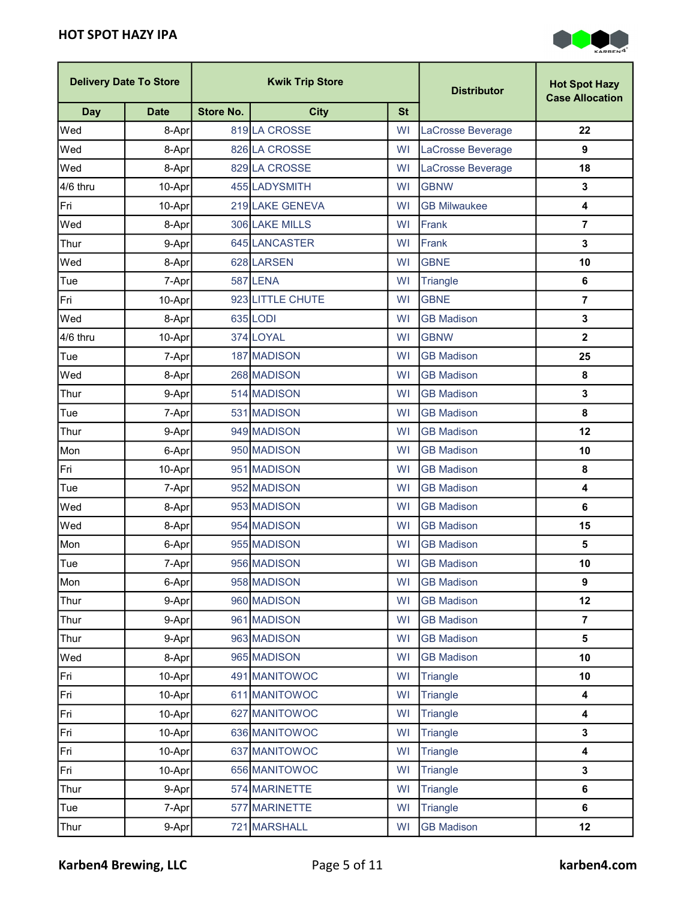

|            | <b>Delivery Date To Store</b> | <b>Kwik Trip Store</b> |                  | <b>Distributor</b> | <b>Hot Spot Hazy</b><br><b>Case Allocation</b> |                         |
|------------|-------------------------------|------------------------|------------------|--------------------|------------------------------------------------|-------------------------|
| <b>Day</b> | <b>Date</b>                   | <b>Store No.</b>       | <b>City</b>      | <b>St</b>          |                                                |                         |
| Wed        | 8-Apr                         |                        | 819 LA CROSSE    | <b>WI</b>          | LaCrosse Beverage                              | 22                      |
| Wed        | 8-Apr                         |                        | 826 LA CROSSE    | WI                 | LaCrosse Beverage                              | 9                       |
| Wed        | 8-Apr                         |                        | 829 LA CROSSE    | WI                 | LaCrosse Beverage                              | 18                      |
| 4/6 thru   | 10-Apr                        |                        | 455 LADYSMITH    | <b>WI</b>          | <b>GBNW</b>                                    | $\mathbf 3$             |
| Fri        | 10-Apr                        |                        | 219 LAKE GENEVA  | <b>WI</b>          | <b>GB Milwaukee</b>                            | $\overline{\mathbf{4}}$ |
| Wed        | 8-Apr                         |                        | 306 LAKE MILLS   | WI                 | Frank                                          | $\overline{7}$          |
| Thur       | 9-Aprl                        |                        | 645 LANCASTER    | WI                 | Frank                                          | 3                       |
| Wed        | 8-Apr                         |                        | 628 LARSEN       | WI                 | <b>GBNE</b>                                    | 10                      |
| Tue        | 7-Apr                         |                        | 587 LENA         | WI                 | Triangle                                       | 6                       |
| Fri        | 10-Apr                        |                        | 923 LITTLE CHUTE | WI                 | <b>GBNE</b>                                    | $\overline{7}$          |
| Wed        | 8-Apr                         |                        | 635 LODI         | WI                 | <b>GB Madison</b>                              | $\mathbf 3$             |
| 4/6 thru   | 10-Apr                        |                        | 374 LOYAL        | <b>WI</b>          | <b>GBNW</b>                                    | $\mathbf{2}$            |
| Tue        | 7-Apr                         |                        | 187 MADISON      | WI                 | <b>GB Madison</b>                              | 25                      |
| Wed        | 8-Apr                         |                        | 268 MADISON      | WI                 | <b>GB Madison</b>                              | 8                       |
| Thur       | 9-Apr                         |                        | 514 MADISON      | WI                 | <b>GB Madison</b>                              | $\mathbf{3}$            |
| Tue        | 7-Apr                         |                        | 531 MADISON      | <b>WI</b>          | <b>GB Madison</b>                              | 8                       |
| Thur       | 9-Apr                         |                        | 949 MADISON      | WI                 | <b>GB Madison</b>                              | 12                      |
| Mon        | 6-Apr                         |                        | 950 MADISON      | WI                 | <b>GB Madison</b>                              | 10                      |
| Fri        | 10-Apr                        |                        | 951 MADISON      | WI                 | <b>GB Madison</b>                              | 8                       |
| Tue        | 7-Apr                         |                        | 952 MADISON      | WI                 | <b>GB Madison</b>                              | 4                       |
| Wed        | 8-Apr                         |                        | 953 MADISON      | <b>WI</b>          | <b>GB Madison</b>                              | $\bf 6$                 |
| Wed        | 8-Apr                         |                        | 954 MADISON      | WI                 | <b>GB Madison</b>                              | 15                      |
| Mon        | 6-Apr                         |                        | 955 MADISON      | WI                 | <b>GB Madison</b>                              | 5                       |
| Tue        | 7-Apr                         |                        | 956 MADISON      | <b>WI</b>          | <b>GB Madison</b>                              | 10                      |
| Mon        | 6-Apr                         |                        | 958 MADISON      | WI                 | <b>GB Madison</b>                              | 9                       |
| Thur       | 9-Apr                         |                        | 960 MADISON      | WI                 | <b>GB Madison</b>                              | 12                      |
| Thur       | 9-Apr                         |                        | 961 MADISON      | WI                 | <b>GB Madison</b>                              | $\overline{7}$          |
| Thur       | 9-Apr                         |                        | 963 MADISON      | WI                 | <b>GB Madison</b>                              | 5                       |
| Wed        | 8-Apr                         |                        | 965 MADISON      | WI                 | <b>GB Madison</b>                              | 10                      |
| Fri        | 10-Apr                        |                        | 491 MANITOWOC    | <b>WI</b>          | Triangle                                       | 10                      |
| Fri        | 10-Apr                        |                        | 611 MANITOWOC    | WI                 | Triangle                                       | $\overline{\mathbf{4}}$ |
| Fri        | 10-Apr                        |                        | 627 MANITOWOC    | WI                 | Triangle                                       | 4                       |
| Fri        | 10-Apr                        |                        | 636 MANITOWOC    | WI                 | Triangle                                       | $\mathbf{3}$            |
| Fri        | 10-Apr                        |                        | 637 MANITOWOC    | WI                 | Triangle                                       | $\overline{\mathbf{4}}$ |
| Fri        | 10-Apr                        |                        | 656 MANITOWOC    | WI                 | Triangle                                       | $\mathbf{3}$            |
| Thur       | 9-Apr                         |                        | 574 MARINETTE    | WI                 | Triangle                                       | 6                       |
| Tue        | 7-Apr                         |                        | 577 MARINETTE    | WI                 | Triangle                                       | 6                       |
| Thur       | 9-Apr                         |                        | 721 MARSHALL     | WI                 | <b>GB Madison</b>                              | 12                      |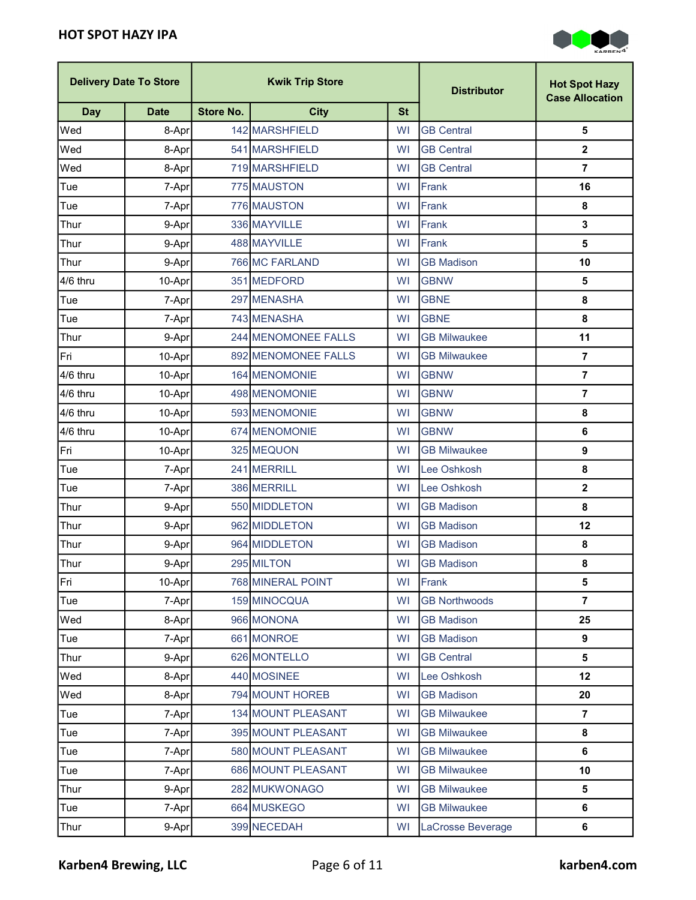

| <b>Delivery Date To Store</b><br><b>Kwik Trip Store</b> |             | <b>Distributor</b> | <b>Hot Spot Hazy</b><br><b>Case Allocation</b> |           |                      |                  |
|---------------------------------------------------------|-------------|--------------------|------------------------------------------------|-----------|----------------------|------------------|
| <b>Day</b>                                              | <b>Date</b> | <b>Store No.</b>   | <b>City</b>                                    | <b>St</b> |                      |                  |
| Wed                                                     | 8-Apr       |                    | 142 MARSHFIELD                                 | WI        | <b>GB Central</b>    | 5                |
| Wed                                                     | 8-Apr       |                    | 541 MARSHFIELD                                 | WI        | <b>GB Central</b>    | $\mathbf{2}$     |
| Wed                                                     | 8-Apr       |                    | 719 MARSHFIELD                                 | WI        | <b>GB Central</b>    | $\overline{7}$   |
| Tue                                                     | 7-Apr       |                    | 775 MAUSTON                                    | <b>WI</b> | Frank                | 16               |
| Tue                                                     | 7-Apr       |                    | 776 MAUSTON                                    | <b>WI</b> | Frank                | 8                |
| Thur                                                    | 9-Apr       |                    | 336 MAYVILLE                                   | WI        | Frank                | $\mathbf{3}$     |
| Thur                                                    | 9-Apr       |                    | 488 MAYVILLE                                   | WI        | Frank                | 5                |
| Thur                                                    | 9-Apr       |                    | 766 MC FARLAND                                 | WI        | <b>GB Madison</b>    | 10               |
| 4/6 thru                                                | 10-Apr      |                    | 351 MEDFORD                                    | <b>WI</b> | <b>GBNW</b>          | 5                |
| Tue                                                     | 7-Apr       |                    | 297 MENASHA                                    | WI        | <b>GBNE</b>          | 8                |
| Tue                                                     | 7-Apr       |                    | 743 MENASHA                                    | <b>WI</b> | <b>GBNE</b>          | 8                |
| Thur                                                    | 9-Apr       |                    | 244 MENOMONEE FALLS                            | WI        | <b>GB Milwaukee</b>  | 11               |
| Fri                                                     | 10-Apr      |                    | 892 MENOMONEE FALLS                            | <b>WI</b> | <b>GB Milwaukee</b>  | $\overline{7}$   |
| 4/6 thru                                                | 10-Apr      |                    | 164 MENOMONIE                                  | WI        | <b>GBNW</b>          | $\overline{7}$   |
| 4/6 thru                                                | 10-Apr      |                    | 498 MENOMONIE                                  | WI        | <b>GBNW</b>          | $\overline{7}$   |
| 4/6 thru                                                | 10-Apr      |                    | 593 MENOMONIE                                  | <b>WI</b> | <b>GBNW</b>          | 8                |
| 4/6 thru                                                | 10-Apr      |                    | 674 MENOMONIE                                  | WI        | <b>GBNW</b>          | 6                |
| Fri                                                     | 10-Apr      |                    | 325 MEQUON                                     | WI        | <b>GB Milwaukee</b>  | $\boldsymbol{9}$ |
| Tue                                                     | 7-Apr       |                    | 241 MERRILL                                    | WI        | Lee Oshkosh          | 8                |
| Tue                                                     | 7-Apr       |                    | 386 MERRILL                                    | WI        | Lee Oshkosh          | $\mathbf{2}$     |
| Thur                                                    | 9-Apr       |                    | 550 MIDDLETON                                  | <b>WI</b> | <b>GB Madison</b>    | 8                |
| Thur                                                    | 9-Apr       |                    | 962 MIDDLETON                                  | <b>WI</b> | <b>GB Madison</b>    | 12               |
| Thur                                                    | 9-Apr       |                    | 964 MIDDLETON                                  | WI        | <b>GB Madison</b>    | 8                |
| Thur                                                    | 9-Apr       |                    | 295 MILTON                                     | <b>WI</b> | <b>GB Madison</b>    | 8                |
| Fri                                                     | 10-Apr      |                    | 768 MINERAL POINT                              | WI        | Frank                | 5                |
| Tue                                                     | 7-Apr       |                    | 159 MINOCQUA                                   | WI        | <b>GB Northwoods</b> | 7                |
| Wed                                                     | 8-Apr       |                    | 966 MONONA                                     | WI        | <b>GB Madison</b>    | 25               |
| Tue                                                     | 7-Apr       |                    | 661 MONROE                                     | WI        | <b>GB Madison</b>    | 9                |
| Thur                                                    | 9-Apr       |                    | 626 MONTELLO                                   | WI        | <b>GB Central</b>    | 5                |
| Wed                                                     | 8-Apr       |                    | 440 MOSINEE                                    | <b>WI</b> | Lee Oshkosh          | 12               |
| Wed                                                     | 8-Apr       |                    | 794 MOUNT HOREB                                | WI        | <b>GB Madison</b>    | 20               |
| Tue                                                     | 7-Apr       |                    | 134 MOUNT PLEASANT                             | WI        | <b>GB Milwaukee</b>  | $\overline{7}$   |
| Tue                                                     | 7-Apr       |                    | 395 MOUNT PLEASANT                             | <b>WI</b> | <b>GB Milwaukee</b>  | 8                |
| Tue                                                     | 7-Apr       |                    | 580 MOUNT PLEASANT                             | WI        | <b>GB Milwaukee</b>  | 6                |
| Tue                                                     | 7-Apr       |                    | 686 MOUNT PLEASANT                             | <b>WI</b> | <b>GB Milwaukee</b>  | 10               |
| Thur                                                    | 9-Apr       |                    | 282 MUKWONAGO                                  | WI        | <b>GB Milwaukee</b>  | 5                |
| Tue                                                     | 7-Apr       |                    | 664 MUSKEGO                                    | WI        | <b>GB Milwaukee</b>  | 6                |
| Thur                                                    | 9-Apr       |                    | 399 NECEDAH                                    | WI        | LaCrosse Beverage    | 6                |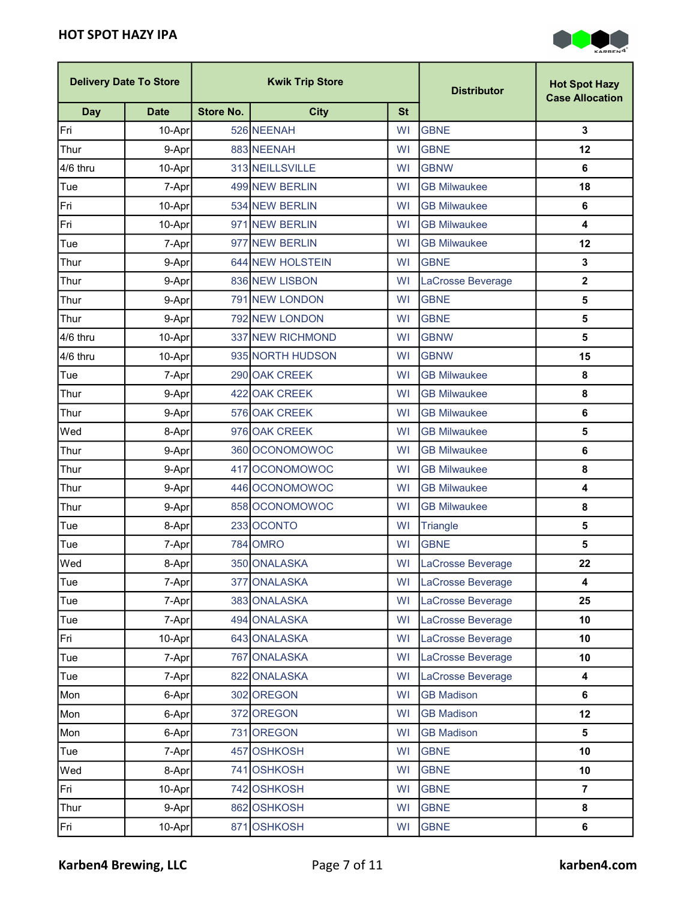

|            | <b>Delivery Date To Store</b> |                  | <b>Kwik Trip Store</b> |           | <b>Distributor</b>  | <b>Hot Spot Hazy</b><br><b>Case Allocation</b> |
|------------|-------------------------------|------------------|------------------------|-----------|---------------------|------------------------------------------------|
| <b>Day</b> | <b>Date</b>                   | <b>Store No.</b> | <b>City</b>            | <b>St</b> |                     |                                                |
| Fri        | 10-Apr                        |                  | 526 NEENAH             | WI        | <b>GBNE</b>         | 3                                              |
| Thur       | 9-Apr                         |                  | 883 NEENAH             | WI        | <b>GBNE</b>         | 12                                             |
| 4/6 thru   | 10-Apr                        |                  | 313 NEILLSVILLE        | <b>WI</b> | <b>GBNW</b>         | 6                                              |
| Tue        | 7-Apr                         |                  | 499 NEW BERLIN         | WI        | <b>GB Milwaukee</b> | 18                                             |
| Fri        | 10-Apr                        |                  | 534 NEW BERLIN         | WI        | <b>GB Milwaukee</b> | $\bf 6$                                        |
| Fri        | 10-Apr                        |                  | 971 NEW BERLIN         | WI        | <b>GB Milwaukee</b> | $\overline{\mathbf{4}}$                        |
| Tue        | 7-Apr                         |                  | 977 NEW BERLIN         | WI        | <b>GB Milwaukee</b> | 12                                             |
| Thur       | 9-Apr                         |                  | 644 NEW HOLSTEIN       | WI        | <b>GBNE</b>         | $\mathbf{3}$                                   |
| Thur       | 9-Apr                         |                  | 836 NEW LISBON         | <b>WI</b> | LaCrosse Beverage   | $\mathbf{2}$                                   |
| Thur       | 9-Apr                         |                  | 791 NEW LONDON         | WI        | <b>GBNE</b>         | $\overline{\mathbf{5}}$                        |
| Thur       | 9-Apr                         |                  | 792 NEW LONDON         | WI        | <b>GBNE</b>         | 5                                              |
| 4/6 thru   | 10-Apr                        |                  | 337 NEW RICHMOND       | WI        | <b>GBNW</b>         | 5                                              |
| 4/6 thru   | 10-Apr                        |                  | 935 NORTH HUDSON       | <b>WI</b> | <b>GBNW</b>         | 15                                             |
| Tue        | 7-Apr                         |                  | 290 OAK CREEK          | <b>WI</b> | <b>GB Milwaukee</b> | 8                                              |
| Thur       | 9-Apr                         |                  | 422 OAK CREEK          | WI        | <b>GB Milwaukee</b> | 8                                              |
| Thur       | 9-Apr                         |                  | 576 OAK CREEK          | WI        | <b>GB Milwaukee</b> | 6                                              |
| Wed        | 8-Apr                         |                  | 976 OAK CREEK          | <b>WI</b> | <b>GB Milwaukee</b> | $\overline{\mathbf{5}}$                        |
| Thur       | 9-Apr                         |                  | 360 OCONOMOWOC         | WI        | <b>GB Milwaukee</b> | $\bf 6$                                        |
| Thur       | 9-Apr                         |                  | 417 OCONOMOWOC         | WI        | <b>GB Milwaukee</b> | 8                                              |
| Thur       | 9-Apr                         |                  | 446 OCONOMOWOC         | <b>WI</b> | <b>GB Milwaukee</b> | $\overline{\mathbf{4}}$                        |
| Thur       | 9-Apr                         |                  | 858 OCONOMOWOC         | WI        | <b>GB Milwaukee</b> | 8                                              |
| Tue        | 8-Apr                         |                  | 233 OCONTO             | <b>WI</b> | <b>Triangle</b>     | $\overline{\mathbf{5}}$                        |
| Tue        | 7-Apr                         |                  | 784 OMRO               | <b>WI</b> | <b>GBNE</b>         | 5                                              |
| Wed        | 8-Apr                         |                  | 350 ONALASKA           | <b>WI</b> | LaCrosse Beverage   | 22                                             |
| Tue        | 7-Apr                         |                  | 377 ONALASKA           | WI        | LaCrosse Beverage   | $\overline{\mathbf{4}}$                        |
| Tue        | 7-Apr                         |                  | 383 ONALASKA           | <b>WI</b> | LaCrosse Beverage   | 25                                             |
| Tue        | 7-Apr                         |                  | 494 ONALASKA           | <b>WI</b> | LaCrosse Beverage   | 10                                             |
| Fri        | 10-Apr                        |                  | 643 ONALASKA           | WI        | LaCrosse Beverage   | 10                                             |
| Tue        | 7-Apr                         |                  | 767 ONALASKA           | WI        | LaCrosse Beverage   | 10                                             |
| Tue        | 7-Apr                         |                  | 822 ONALASKA           | <b>WI</b> | LaCrosse Beverage   | 4                                              |
| Mon        | 6-Apr                         |                  | 302 OREGON             | <b>WI</b> | <b>GB Madison</b>   | $6\phantom{a}$                                 |
| Mon        | 6-Apr                         |                  | 372 OREGON             | <b>WI</b> | <b>GB Madison</b>   | 12                                             |
| Mon        | 6-Apr                         |                  | 731 OREGON             | WI        | <b>GB Madison</b>   | 5                                              |
| Tue        | 7-Apr                         |                  | 457 OSHKOSH            | WI        | <b>GBNE</b>         | 10                                             |
| Wed        | 8-Apr                         |                  | 741 OSHKOSH            | <b>WI</b> | <b>GBNE</b>         | 10                                             |
| Fri        | 10-Apr                        |                  | 742 OSHKOSH            | <b>WI</b> | <b>GBNE</b>         | $\overline{7}$                                 |
| Thur       | 9-Apr                         |                  | 862 OSHKOSH            | WI        | <b>GBNE</b>         | 8                                              |
| Fri        | $10-Apr$                      |                  | 871 OSHKOSH            | WI        | <b>GBNE</b>         | 6                                              |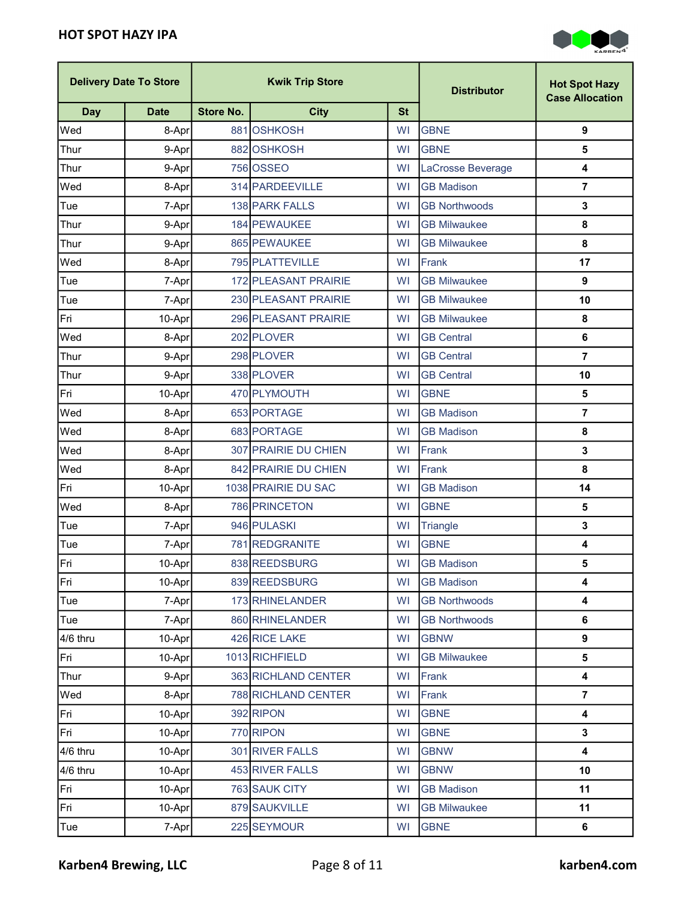

| <b>Kwik Trip Store</b><br><b>Delivery Date To Store</b> |             | <b>Distributor</b> | <b>Hot Spot Hazy</b><br><b>Case Allocation</b> |           |                      |                         |
|---------------------------------------------------------|-------------|--------------------|------------------------------------------------|-----------|----------------------|-------------------------|
| <b>Day</b>                                              | <b>Date</b> | <b>Store No.</b>   | <b>City</b>                                    | <b>St</b> |                      |                         |
| Wed                                                     | 8-Apr       |                    | 881 OSHKOSH                                    | WI        | <b>GBNE</b>          | $\boldsymbol{9}$        |
| Thur                                                    | 9-Apr       |                    | 882 OSHKOSH                                    | <b>WI</b> | <b>GBNE</b>          | 5                       |
| Thur                                                    | 9-Apr       |                    | 756 OSSEO                                      | WI        | LaCrosse Beverage    | $\overline{\mathbf{4}}$ |
| Wed                                                     | 8-Apr       |                    | 314 PARDEEVILLE                                | <b>WI</b> | <b>GB Madison</b>    | $\overline{7}$          |
| Tue                                                     | 7-Apr       |                    | 138 PARK FALLS                                 | WI        | <b>GB Northwoods</b> | $\mathbf 3$             |
| Thur                                                    | 9-Apr       |                    | 184 PEWAUKEE                                   | WI        | <b>GB Milwaukee</b>  | $\pmb{8}$               |
| Thur                                                    | 9-Apr       |                    | 865 PEWAUKEE                                   | WI        | <b>GB Milwaukee</b>  | 8                       |
| Wed                                                     | 8-Apr       |                    | 795 PLATTEVILLE                                | <b>WI</b> | Frank                | 17                      |
| Tue                                                     | 7-Apr       |                    | 172 PLEASANT PRAIRIE                           | <b>WI</b> | <b>GB Milwaukee</b>  | $\boldsymbol{9}$        |
| Tue                                                     | 7-Apr       |                    | 230 PLEASANT PRAIRIE                           | WI        | <b>GB Milwaukee</b>  | 10                      |
| Fri                                                     | 10-Apr      |                    | 296 PLEASANT PRAIRIE                           | WI        | <b>GB Milwaukee</b>  | 8                       |
| Wed                                                     | 8-Apr       |                    | 202 PLOVER                                     | WI        | <b>GB Central</b>    | 6                       |
| Thur                                                    | 9-Apr       |                    | 298 PLOVER                                     | <b>WI</b> | <b>GB Central</b>    | $\overline{7}$          |
| Thur                                                    | 9-Apr       |                    | 338 PLOVER                                     | <b>WI</b> | <b>GB Central</b>    | 10                      |
| Fri                                                     | 10-Apr      |                    | 470 PLYMOUTH                                   | WI        | <b>GBNE</b>          | $\overline{\mathbf{5}}$ |
| Wed                                                     | 8-Apr       |                    | 653 PORTAGE                                    | WI        | <b>GB Madison</b>    | $\overline{7}$          |
| Wed                                                     | 8-Apr       |                    | 683 PORTAGE                                    | <b>WI</b> | <b>GB Madison</b>    | $\pmb{8}$               |
| Wed                                                     | 8-Apr       |                    | 307 PRAIRIE DU CHIEN                           | WI        | Frank                | $\mathbf{3}$            |
| Wed                                                     | 8-Apr       |                    | 842 PRAIRIE DU CHIEN                           | <b>WI</b> | Frank                | 8                       |
| Fri                                                     | 10-Apr      |                    | 1038 PRAIRIE DU SAC                            | <b>WI</b> | <b>GB Madison</b>    | 14                      |
| Wed                                                     | 8-Apr       |                    | 786 PRINCETON                                  | <b>WI</b> | <b>GBNE</b>          | 5                       |
| Tue                                                     | 7-Apr       |                    | 946 PULASKI                                    | <b>WI</b> | Triangle             | $\mathbf 3$             |
| Tue                                                     | 7-Apr       |                    | 781 REDGRANITE                                 | WI        | <b>GBNE</b>          | $\overline{\mathbf{4}}$ |
| Fri                                                     | 10-Apr      |                    | 838 REEDSBURG                                  | WI        | <b>GB Madison</b>    | 5                       |
| Fri                                                     | $10-Apr$    |                    | 839 REEDSBURG                                  | WI        | <b>GB Madison</b>    | 4                       |
| Tue                                                     | 7-Apr       |                    | 173 RHINELANDER                                | <b>WI</b> | <b>GB Northwoods</b> | 4                       |
| Tue                                                     | 7-Apr       |                    | 860 RHINELANDER                                | <b>WI</b> | <b>GB Northwoods</b> | 6                       |
| 4/6 thru                                                | 10-Apr      |                    | 426 RICE LAKE                                  | <b>WI</b> | <b>GBNW</b>          | $\boldsymbol{9}$        |
| Fri                                                     | 10-Apr      |                    | 1013 RICHFIELD                                 | <b>WI</b> | <b>GB Milwaukee</b>  | $\overline{\mathbf{5}}$ |
| Thur                                                    | 9-Apr       |                    | 363 RICHLAND CENTER                            | <b>WI</b> | Frank                | $\boldsymbol{4}$        |
| Wed                                                     | 8-Apr       |                    | 788 RICHLAND CENTER                            | WI        | Frank                | $\overline{7}$          |
| Fri                                                     | 10-Apr      |                    | 392 RIPON                                      | <b>WI</b> | <b>GBNE</b>          | $\overline{\mathbf{4}}$ |
| Fri                                                     | 10-Apr      |                    | 770 RIPON                                      | <b>WI</b> | <b>GBNE</b>          | $\mathbf 3$             |
| 4/6 thru                                                | $10-Apr$    |                    | 301 RIVER FALLS                                | WI        | <b>GBNW</b>          | 4                       |
| 4/6 thru                                                | $10-Apr$    |                    | 453 RIVER FALLS                                | <b>WI</b> | <b>GBNW</b>          | 10                      |
| Fri                                                     | 10-Apr      |                    | 763 SAUK CITY                                  | WI        | <b>GB Madison</b>    | 11                      |
| Fri                                                     | 10-Apr      |                    | 879 SAUKVILLE                                  | <b>WI</b> | <b>GB Milwaukee</b>  | 11                      |
| Tue                                                     | 7-Apr       |                    | 225 SEYMOUR                                    | WI        | <b>GBNE</b>          | $\bf 6$                 |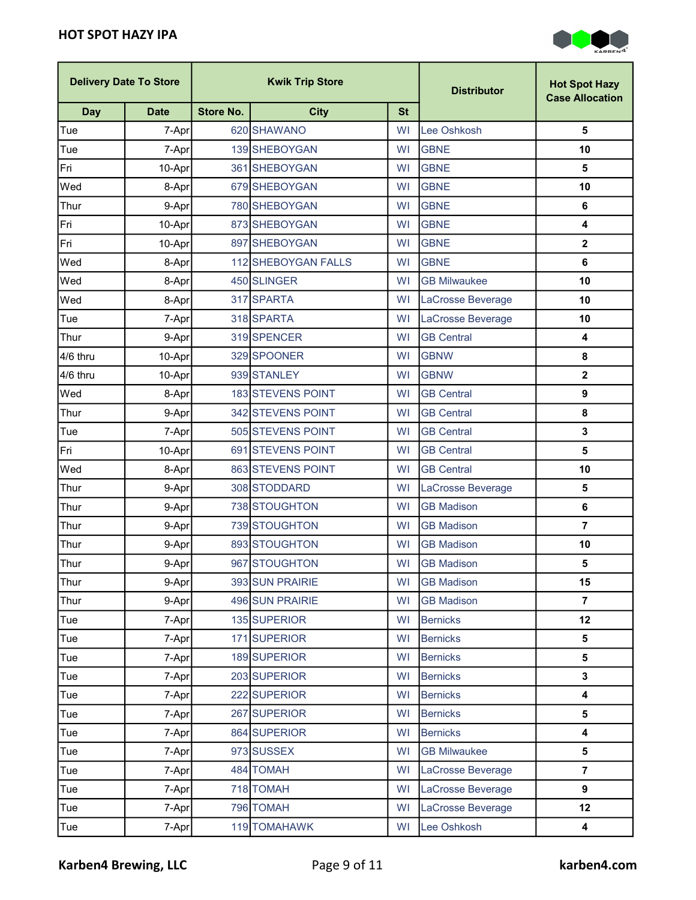

| <b>Delivery Date To Store</b> |             | <b>Kwik Trip Store</b> |                          |           | <b>Distributor</b>  | <b>Hot Spot Hazy</b><br><b>Case Allocation</b> |
|-------------------------------|-------------|------------------------|--------------------------|-----------|---------------------|------------------------------------------------|
| <b>Day</b>                    | <b>Date</b> | <b>Store No.</b>       | <b>City</b>              | <b>St</b> |                     |                                                |
| <b>Tue</b>                    | 7-Apr       |                        | 620 SHAWANO              | <b>WI</b> | Lee Oshkosh         | 5                                              |
| Tue                           | 7-Apr       |                        | 139 SHEBOYGAN            | WI        | <b>GBNE</b>         | 10                                             |
| Fri                           | 10-Apr      |                        | 361 SHEBOYGAN            | WI        | <b>GBNE</b>         | 5                                              |
| Wed                           | 8-Apr       |                        | 679 SHEBOYGAN            | WI        | <b>GBNE</b>         | 10                                             |
| Thur                          | 9-Apr       |                        | 780 SHEBOYGAN            | WI        | <b>GBNE</b>         | 6                                              |
| Fri                           | 10-Apr      |                        | 873 SHEBOYGAN            | <b>WI</b> | <b>GBNE</b>         | 4                                              |
| Fri                           | 10-Apr      |                        | 897 SHEBOYGAN            | WI        | <b>GBNE</b>         | $\mathbf 2$                                    |
| Wed                           | 8-Apr       |                        | 112 SHEBOYGAN FALLS      | WI        | <b>GBNE</b>         | 6                                              |
| Wed                           | 8-Apr       |                        | 450 SLINGER              | <b>WI</b> | <b>GB Milwaukee</b> | 10                                             |
| Wed                           | 8-Apr       |                        | 317 SPARTA               | <b>WI</b> | LaCrosse Beverage   | 10                                             |
| Tue                           | 7-Apr       |                        | 318 SPARTA               | WI        | LaCrosse Beverage   | 10                                             |
| Thur                          | 9-Apr       |                        | 319 SPENCER              | WI        | <b>GB Central</b>   | 4                                              |
| 4/6 thru                      | 10-Apr      |                        | 329 SPOONER              | WI        | <b>GBNW</b>         | 8                                              |
| 4/6 thru                      | 10-Apr      |                        | 939 STANLEY              | WI        | <b>GBNW</b>         | $\mathbf 2$                                    |
| Wed                           | 8-Apr       |                        | <b>183 STEVENS POINT</b> | WI        | <b>GB Central</b>   | 9                                              |
| Thur                          | 9-Apr       |                        | 342 STEVENS POINT        | WI        | <b>GB Central</b>   | 8                                              |
| Tue                           | 7-Apr       |                        | 505 STEVENS POINT        | <b>WI</b> | <b>GB Central</b>   | 3                                              |
| Fri                           | 10-Apr      |                        | 691 STEVENS POINT        | WI        | <b>GB Central</b>   | 5                                              |
| Wed                           | 8-Apr       |                        | 863 STEVENS POINT        | WI        | <b>GB Central</b>   | 10                                             |
| Thur                          | 9-Apr       |                        | 308 STODDARD             | WI        | LaCrosse Beverage   | 5                                              |
| Thur                          | 9-Apr       |                        | 738 STOUGHTON            | <b>WI</b> | <b>GB Madison</b>   | 6                                              |
| Thur                          | 9-Apr       |                        | 739 STOUGHTON            | <b>WI</b> | <b>GB Madison</b>   | $\overline{7}$                                 |
| Thur                          | 9-Apr       |                        | 893 STOUGHTON            | <b>WI</b> | <b>GB Madison</b>   | 10                                             |
| Thur                          | 9-Apr       |                        | 967 STOUGHTON            | WI        | <b>GB Madison</b>   | 5                                              |
| Thur                          | 9-Apr       |                        | 393 SUN PRAIRIE          | WI        | <b>GB Madison</b>   | 15                                             |
| Thur                          | 9-Apr       |                        | 496 SUN PRAIRIE          | WI        | <b>GB Madison</b>   | $\overline{7}$                                 |
| Tue                           | 7-Apr       |                        | 135 SUPERIOR             | WI        | <b>Bernicks</b>     | 12                                             |
| Tue                           | 7-Apr       |                        | 171 SUPERIOR             | WI        | <b>Bernicks</b>     | 5                                              |
| Tue                           | 7-Apr       |                        | 189 SUPERIOR             | WI        | <b>Bernicks</b>     | 5                                              |
| Tue                           | 7-Apr       |                        | 203 SUPERIOR             | WI        | <b>Bernicks</b>     | $\mathbf{3}$                                   |
| Tue                           | 7-Apr       |                        | 222 SUPERIOR             | WI        | <b>Bernicks</b>     | 4                                              |
| Tue                           | 7-Apr       |                        | 267 SUPERIOR             | WI        | <b>Bernicks</b>     | 5                                              |
| Tue                           | 7-Apr       |                        | 864 SUPERIOR             | WI        | <b>Bernicks</b>     | 4                                              |
| Tue                           | 7-Apr       |                        | 973 SUSSEX               | WI        | <b>GB Milwaukee</b> | 5                                              |
| Tue                           | 7-Apr       |                        | 484 TOMAH                | <b>WI</b> | LaCrosse Beverage   | $\overline{7}$                                 |
| Tue                           | 7-Apr       |                        | 718 TOMAH                | <b>WI</b> | LaCrosse Beverage   | 9                                              |
| Tue                           | 7-Apr       |                        | 796 TOMAH                | WI        | LaCrosse Beverage   | 12                                             |
| Tue                           | 7-Apr       |                        | 119 TOMAHAWK             | WI        | Lee Oshkosh         | 4                                              |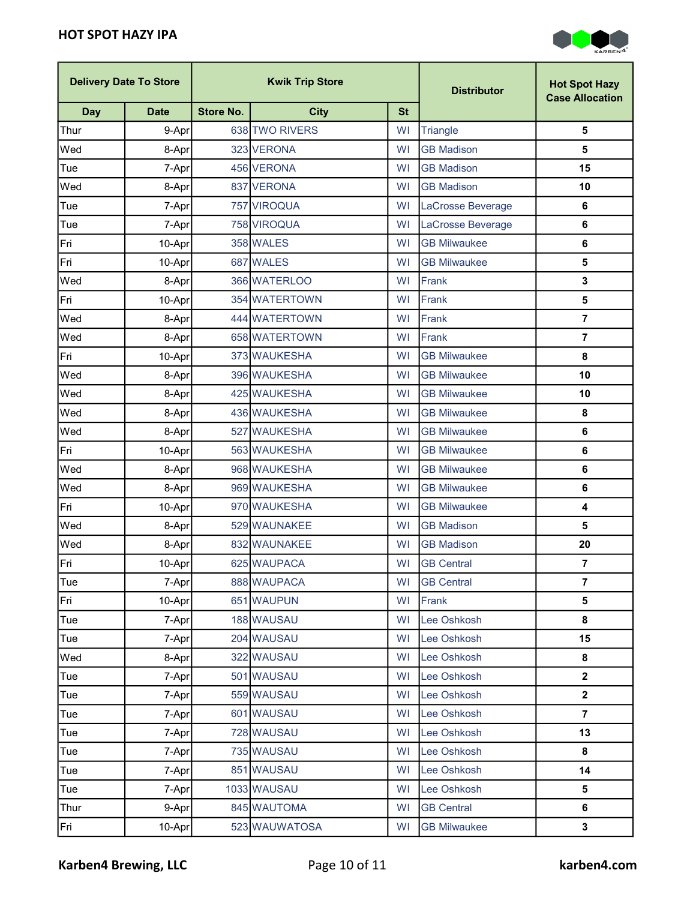

|            | <b>Delivery Date To Store</b> |                  | <b>Kwik Trip Store</b> |           | <b>Distributor</b>  | <b>Hot Spot Hazy</b><br><b>Case Allocation</b> |
|------------|-------------------------------|------------------|------------------------|-----------|---------------------|------------------------------------------------|
| <b>Day</b> | <b>Date</b>                   | <b>Store No.</b> | <b>City</b>            | <b>St</b> |                     |                                                |
| Thur       | 9-Apr                         |                  | 638 TWO RIVERS         | WI        | Triangle            | $\overline{\mathbf{5}}$                        |
| Wed        | 8-Apr                         |                  | 323 VERONA             | WI        | <b>GB Madison</b>   | $\overline{\mathbf{5}}$                        |
| Tue        | 7-Apr                         |                  | 456 VERONA             | <b>WI</b> | <b>GB Madison</b>   | 15                                             |
| Wed        | 8-Apr                         |                  | 837 VERONA             | WI        | <b>GB Madison</b>   | 10                                             |
| Tue        | 7-Apr                         |                  | 757 VIROQUA            | <b>WI</b> | LaCrosse Beverage   | 6                                              |
| Tue        | 7-Apr                         |                  | 758 VIROQUA            | WI        | LaCrosse Beverage   | $\bf 6$                                        |
| Fri        | 10-Apr                        |                  | 358 WALES              | WI        | <b>GB Milwaukee</b> | 6                                              |
| Fri        | 10-Apr                        |                  | 687 WALES              | <b>WI</b> | <b>GB Milwaukee</b> | 5                                              |
| Wed        | 8-Apr                         |                  | 366 WATERLOO           | <b>WI</b> | Frank               | $\mathbf{3}$                                   |
| Fri        | 10-Apr                        |                  | 354 WATERTOWN          | WI        | Frank               | $\overline{\mathbf{5}}$                        |
| Wed        | 8-Apr                         |                  | 444 WATERTOWN          | WI        | Frank               | $\overline{7}$                                 |
| Wed        | 8-Apr                         |                  | 658 WATERTOWN          | <b>WI</b> | Frank               | $\overline{7}$                                 |
| Fri        | 10-Apr                        |                  | 373 WAUKESHA           | <b>WI</b> | <b>GB Milwaukee</b> | 8                                              |
| Wed        | 8-Apr                         |                  | 396 WAUKESHA           | WI        | <b>GB Milwaukee</b> | 10                                             |
| Wed        | 8-Aprl                        |                  | 425 WAUKESHA           | WI        | <b>GB Milwaukee</b> | 10                                             |
| Wed        | 8-Apr                         |                  | 436 WAUKESHA           | WI        | <b>GB Milwaukee</b> | 8                                              |
| Wed        | 8-Apr                         |                  | 527 WAUKESHA           | <b>WI</b> | <b>GB Milwaukee</b> | 6                                              |
| Fri        | 10-Apr                        |                  | 563 WAUKESHA           | WI        | <b>GB Milwaukee</b> | $\bf 6$                                        |
| Wed        | 8-Apr                         |                  | 968 WAUKESHA           | WI        | <b>GB Milwaukee</b> | 6                                              |
| Wed        | 8-Apr                         |                  | 969 WAUKESHA           | <b>WI</b> | <b>GB Milwaukee</b> | 6                                              |
| Fri        | 10-Apr                        |                  | 970 WAUKESHA           | <b>WI</b> | <b>GB Milwaukee</b> | $\overline{\mathbf{4}}$                        |
| Wed        | 8-Apr                         |                  | 529 WAUNAKEE           | WI        | <b>GB Madison</b>   | 5                                              |
| Wed        | 8-Apr                         |                  | 832 WAUNAKEE           | WI        | <b>GB Madison</b>   | 20                                             |
| Fri        | 10-Apr                        |                  | 625 WAUPACA            | <b>WI</b> | <b>GB Central</b>   | $\overline{7}$                                 |
| Tue        | 7-Apr                         |                  | 888 WAUPACA            | WI        | <b>GB Central</b>   | $\overline{7}$                                 |
| Fri        | 10-Apr                        |                  | 651 WAUPUN             | WI        | Frank               | $\overline{\mathbf{5}}$                        |
| Tue        | 7-Apr                         |                  | 188 WAUSAU             | WI        | Lee Oshkosh         | 8                                              |
| Tue        | 7-Apr                         |                  | 204 WAUSAU             | <b>WI</b> | Lee Oshkosh         | 15                                             |
| Wed        | 8-Apr                         |                  | 322 WAUSAU             | WI        | Lee Oshkosh         | 8                                              |
| Tue        | 7-Apr                         |                  | 501 WAUSAU             | <b>WI</b> | Lee Oshkosh         | $\mathbf{2}$                                   |
| Tue        | 7-Apr                         |                  | 559 WAUSAU             | WI        | Lee Oshkosh         | $\boldsymbol{2}$                               |
| Tue        | 7-Apr                         |                  | 601 WAUSAU             | <b>WI</b> | Lee Oshkosh         | $\overline{7}$                                 |
| Tue        | 7-Apr                         |                  | 728 WAUSAU             | <b>WI</b> | Lee Oshkosh         | 13                                             |
| Tue        | 7-Apr                         |                  | 735 WAUSAU             | WI        | Lee Oshkosh         | 8                                              |
| Tue        | 7-Apr                         |                  | 851 WAUSAU             | <b>WI</b> | Lee Oshkosh         | 14                                             |
| Tue        | 7-Apr                         |                  | 1033 WAUSAU            | WI        | Lee Oshkosh         | $\overline{\mathbf{5}}$                        |
| Thur       | 9-Apr                         |                  | 845 WAUTOMA            | WI        | <b>GB Central</b>   | 6                                              |
| Fri        | $10-Apr$                      |                  | 523 WAUWATOSA          | WI        | <b>GB Milwaukee</b> | $\mathbf 3$                                    |